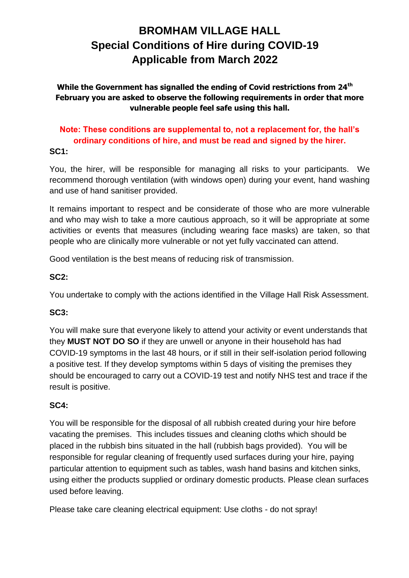# **BROMHAM VILLAGE HALL Special Conditions of Hire during COVID-19 Applicable from March 2022**

**While the Government has signalled the ending of Covid restrictions from 24th February you are asked to observe the following requirements in order that more vulnerable people feel safe using this hall.**

# **Note: These conditions are supplemental to, not a replacement for, the hall's ordinary conditions of hire, and must be read and signed by the hirer. SC1:**

You, the hirer, will be responsible for managing all risks to your participants. We recommend thorough ventilation (with windows open) during your event, hand washing and use of hand sanitiser provided.

It remains important to respect and be considerate of those who are more vulnerable and who may wish to take a more cautious approach, so it will be appropriate at some activities or events that measures (including wearing face masks) are taken, so that people who are clinically more vulnerable or not yet fully vaccinated can attend.

Good ventilation is the best means of reducing risk of transmission.

# **SC2:**

You undertake to comply with the actions identified in the Village Hall Risk Assessment.

# **SC3:**

You will make sure that everyone likely to attend your activity or event understands that they **MUST NOT DO SO** if they are unwell or anyone in their household has had COVID-19 symptoms in the last 48 hours, or if still in their self-isolation period following a positive test. If they develop symptoms within 5 days of visiting the premises they should be encouraged to carry out a COVID-19 test and notify NHS test and trace if the result is positive.

## **SC4:**

You will be responsible for the disposal of all rubbish created during your hire before vacating the premises. This includes tissues and cleaning cloths which should be placed in the rubbish bins situated in the hall (rubbish bags provided). You will be responsible for regular cleaning of frequently used surfaces during your hire, paying particular attention to equipment such as tables, wash hand basins and kitchen sinks, using either the products supplied or ordinary domestic products. Please clean surfaces used before leaving.

Please take care cleaning electrical equipment: Use cloths - do not spray!